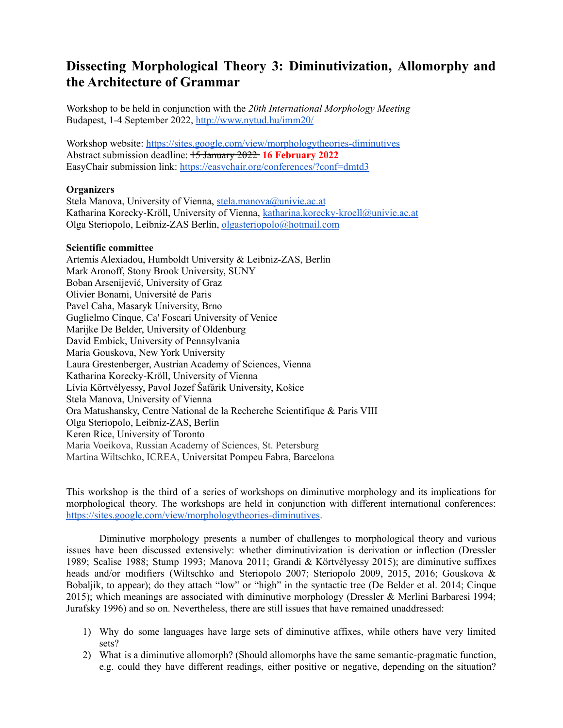# **Dissecting Morphological Theory 3: Diminutivization, Allomorphy and the Architecture of Grammar**

Workshop to be held in conjunction with the *20th International Morphology Meeting* Budapest, 1-4 September 2022, <http://www.nytud.hu/imm20/>

Workshop website: [https://sites.google.com/view/morphologytheories-diminutives](https://sites.google.com/view/morphologytheories-diminutives/home) Abstract submission deadline: 15 January 2022 **16 February 2022** EasyChair submission link: <https://easychair.org/conferences/?conf=dmtd3>

## **Organizers**

Stela Manova, University of Vienna, [stela.manova@univie.ac.at](mailto:stela.manova@univie.ac.at) Katharina Korecky-Kröll, University of Vienna, [katharina.korecky-kroell@univie.ac.at](mailto:katharina.korecky-kroell@univie.ac.at) Olga Steriopolo, Leibniz-ZAS Berlin, [olgasteriopolo@hotmail.com](mailto:olgasteriopolo@hotmail.com)

#### **Scientific committee**

Artemis Alexiadou, Humboldt University & Leibniz-ZAS, Berlin Mark Aronoff, Stony Brook University, SUNY Boban Arsenijević, University of Graz Olivier Bonami, Université de Paris Pavel Caha, Masaryk University, Brno Guglielmo Cinque, Ca' Foscari University of Venice Marijke De Belder, University of Oldenburg David Embick, University of Pennsylvania Maria Gouskova, New York University Laura Grestenberger, Austrian Academy of Sciences, Vienna Katharina Korecky-Kröll, University of Vienna Lívia Körtvélyessy, Pavol Jozef Šafárik University, Košice Stela Manova, University of Vienna Ora Matushansky, Centre National de la Recherche Scientifique & Paris VIII Olga Steriopolo, Leibniz-ZAS, Berlin Keren Rice, University of Toronto Maria Voeikova, Russian Academy of Sciences, St. Petersburg Martina Wiltschko, ICREA, Universitat Pompeu Fabra, Barcelona

This workshop is the third of a series of workshops on diminutive morphology and its implications for morphological theory. The workshops are held in conjunction with different international conferences: [https://sites.google.com/view/morphologytheories-diminutives.](https://sites.google.com/view/morphologytheories-diminutives/home)

Diminutive morphology presents a number of challenges to morphological theory and various issues have been discussed extensively: whether diminutivization is derivation or inflection (Dressler 1989; Scalise 1988; Stump 1993; Manova 2011; Grandi & Körtvélyessy 2015); are diminutive suffixes heads and/or modifiers (Wiltschko and Steriopolo 2007; Steriopolo 2009, 2015, 2016; Gouskova & Bobaljik, to appear); do they attach "low" or "high" in the syntactic tree (De Belder et al. 2014; Cinque 2015); which meanings are associated with diminutive morphology (Dressler & Merlini Barbaresi 1994; Jurafsky 1996) and so on. Nevertheless, there are still issues that have remained unaddressed:

- 1) Why do some languages have large sets of diminutive affixes, while others have very limited sets?
- 2) What is a diminutive allomorph? (Should allomorphs have the same semantic-pragmatic function, e.g. could they have different readings, either positive or negative, depending on the situation?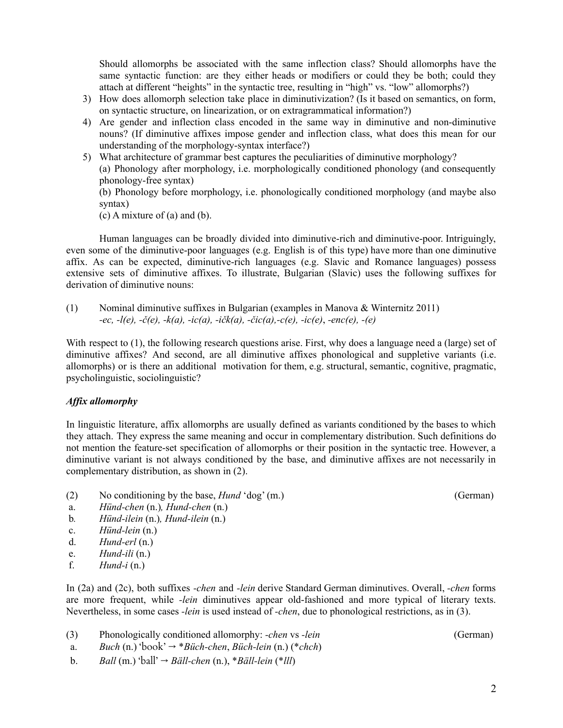Should allomorphs be associated with the same inflection class? Should allomorphs have the same syntactic function: are they either heads or modifiers or could they be both; could they attach at different "heights" in the syntactic tree, resulting in "high" vs. "low" allomorphs?)

- 3) How does allomorph selection take place in diminutivization? (Is it based on semantics, on form, on syntactic structure, on linearization, or on extragrammatical information?)
- 4) Are gender and inflection class encoded in the same way in diminutive and non-diminutive nouns? (If diminutive affixes impose gender and inflection class, what does this mean for our understanding of the morphology-syntax interface?)
- 5) What architecture of grammar best captures the peculiarities of diminutive morphology? (a) Phonology after morphology, i.e. morphologically conditioned phonology (and consequently phonology-free syntax)

(b) Phonology before morphology, i.e. phonologically conditioned morphology (and maybe also syntax)

(c) A mixture of (a) and (b).

Human languages can be broadly divided into diminutive-rich and diminutive-poor. Intriguingly, even some of the diminutive-poor languages (e.g. English is of this type) have more than one diminutive affix. As can be expected, diminutive-rich languages (e.g. Slavic and Romance languages) possess extensive sets of diminutive affixes. To illustrate, Bulgarian (Slavic) uses the following suffixes for derivation of diminutive nouns:

(1) Nominal diminutive suffixes in Bulgarian (examples in Manova & Winternitz 2011) *-ec, -l(e), -č(e), -k(a), -ic(a), -ičk(a), -čic(a),-c(e), -ic(e)*, *-enc(e), -(e)*

With respect to (1), the following research questions arise. First, why does a language need a (large) set of diminutive affixes? And second, are all diminutive affixes phonological and suppletive variants (i.e. allomorphs) or is there an additional motivation for them, e.g. structural, semantic, cognitive, pragmatic, psycholinguistic, sociolinguistic?

## *Af ix allomorphy*

In linguistic literature, affix allomorphs are usually defined as variants conditioned by the bases to which they attach. They express the same meaning and occur in complementary distribution. Such definitions do not mention the feature-set specification of allomorphs or their position in the syntactic tree. However, a diminutive variant is not always conditioned by the base, and diminutive affixes are not necessarily in complementary distribution, as shown in (2).

- (2) No conditioning by the base, *Hund* 'dog' (m.) (German)
- a. *Hünd-chen* (n.)*, Hund-chen* (n.)
- b*. Hünd-ilein* (n.)*, Hund-ilein* (n.[\)](https://www.wortbedeutung.info/H%C3%BCndlein/)
- c. *Hünd-lein* (n.)
- d. *Hund-erl* (n.)
- e. *Hund-ili* (n.)
- f. *Hund-i* (n.)

In (2a) and (2c), both suffixes *-chen* and *-lein* derive Standard German diminutives. Overall, *-chen* forms are more frequent, while *-lein* diminutives appear old-fashioned and more typical of literary texts. Nevertheless, in some cases *-lein* is used instead of *-chen*, due to phonological restrictions, as in (3).

- (3) Phonologically conditioned allomorphy: *-chen* vs *-lein* (German)
- a. *Buch* (n.) 'book' → \**Büch-chen*, *Büch-lein* (n.) (\**chch*)
- b. *Ball* (m.) 'ball' → *Bäll-chen* (n.), \**Bäll-lein* (\**lll*)

2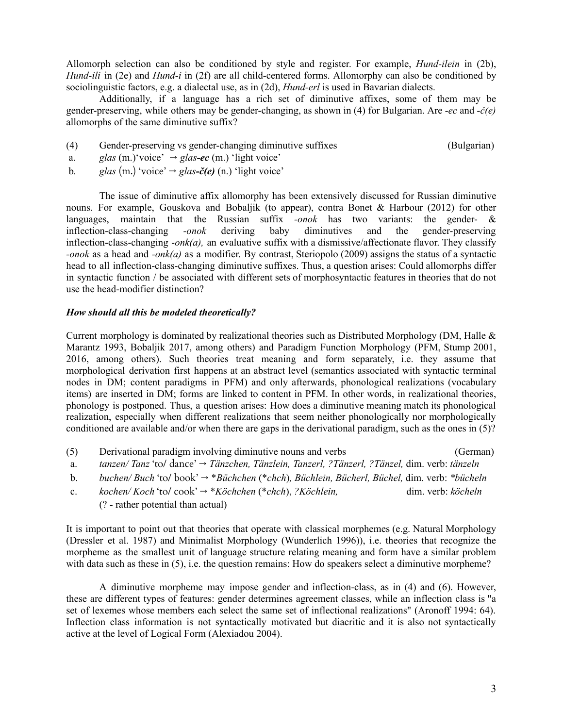Allomorph selection can also be conditioned by style and register. For example, *Hund-ilein* in (2b), *Hund-ili* in (2e) and *Hund-i* in (2f) are all child-centered forms. Allomorphy can also be conditioned by sociolinguistic factors, e.g. a dialectal use, as in (2d), *Hund-erl* is used in Bavarian dialects.

Additionally, if a language has a rich set of diminutive affixes, some of them may be gender-preserving, while others may be gender-changing, as shown in (4) for Bulgarian. Are *-ec* and *-č(e)* allomorphs of the same diminutive suffix?

- (4) Gender-preserving vs gender-changing diminutive suffixes (Bulgarian)
- a. *glas* (m.)'voice'  $\rightarrow$  *glas-ec* (m.) 'light voice'
- b. *glas* (m.) 'voice'  $\rightarrow$  *glas* $\epsilon$ *č(e)* (n.) 'light voice'

The issue of diminutive affix allomorphy has been extensively discussed for Russian diminutive nouns. For example, Gouskova and Bobaljik (to appear), contra Bonet & Harbour (2012) for other languages, maintain that the Russian suffix *-onok* has two variants: the gender- & inflection-class-changing *-onok* deriving baby diminutives and the gender-preserving inflection-class-changing *-onk(a),* an evaluative suffix with a dismissive/affectionate flavor. They classify *-onok* as a head and *-onk(a)* as a modifier. By contrast, Steriopolo (2009) assigns the status of a syntactic head to all inflection-class-changing diminutive suffixes. Thus, a question arises: Could allomorphs differ in syntactic function / be associated with different sets of morphosyntactic features in theories that do not use the head-modifier distinction?

## *How should all this be modeled theoretically?*

Current morphology is dominated by realizational theories such as Distributed Morphology (DM, Halle & Marantz 1993, Bobaljik 2017, among others) and Paradigm Function Morphology (PFM, Stump 2001, 2016, among others). Such theories treat meaning and form separately, i.e. they assume that morphological derivation first happens at an abstract level (semantics associated with syntactic terminal nodes in DM; content paradigms in PFM) and only afterwards, phonological realizations (vocabulary items) are inserted in DM; forms are linked to content in PFM. In other words, in realizational theories, phonology is postponed. Thus, a question arises: How does a diminutive meaning match its phonological realization, especially when different realizations that seem neither phonologically nor morphologically conditioned are available and/or when there are gaps in the derivational paradigm, such as the ones in (5)?

| (5) | Derivational paradigm involving diminutive nouns and verbs                                               | (German) |
|-----|----------------------------------------------------------------------------------------------------------|----------|
|     | tanzen/Tanz 'to/ dance' $\rightarrow$ Tänzchen, Tänzlein, Tanzerl, ?Tänzerl, ?Tänzel, dim. verb: tänzeln |          |

- b. *buchen/ Buch* 'to/ book' → \**Büchchen* (\**chch*)*, Büchlein, Bücherl, Büchel,* dim. verb: *\*bücheln*
- c. *kochen/ Koch* 'to/ cook' → \**Köchchen* (\**chch*), *?Köchlein,* dim. verb: *köcheln* (? - rather potential than actual)

It is important to point out that theories that operate with classical morphemes (e.g. Natural Morphology (Dressler et al. 1987) and Minimalist Morphology (Wunderlich 1996)), i.e. theories that recognize the morpheme as the smallest unit of language structure relating meaning and form have a similar problem with data such as these in (5), i.e. the question remains: How do speakers select a diminutive morpheme?

A diminutive morpheme may impose gender and inflection-class, as in (4) and (6). However, these are different types of features: gender determines agreement classes, while an inflection class is "a set of lexemes whose members each select the same set of inflectional realizations" (Aronoff 1994: 64). Inflection class information is not syntactically motivated but diacritic and it is also not syntactically active at the level of Logical Form (Alexiadou 2004).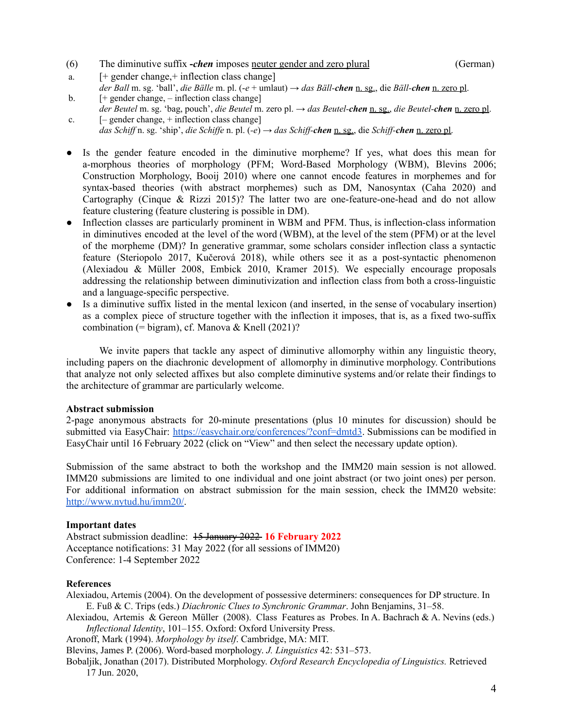- (6) The diminutive suffix **-***chen* imposes neuter gender and zero plural (German)
	-

- a. [+ gender change,+ inflection class change]
- *der Ball* m. sg. 'ball', *die Bälle* m. pl. (-*e* + umlaut) → *das Bäll-chen* n. sg., die *Bäll-chen* n. zero pl. b. [+ gender change, *–* inflection class change]
- *der Beutel* m. sg. 'bag, pouch', *die Beutel* m. zero pl. → *das Beutel-chen* n. sg., *die Beutel-chen* n. zero pl. c. [*–* gender change, + inflection class change]
- *das Schiff* n. sg. 'ship', *die Schiffe* n. pl.  $(-e) \rightarrow$  *das Schiff-chen* n. sg., die *Schiff-chen* n. zero pl.
- Is the gender feature encoded in the diminutive morpheme? If yes, what does this mean for a-morphous theories of morphology (PFM; Word-Based Morphology (WBM), Blevins 2006; Construction Morphology, Booij 2010) where one cannot encode features in morphemes and for syntax-based theories (with abstract morphemes) such as DM, Nanosyntax (Caha 2020) and Cartography (Cinque & Rizzi 2015)? The latter two are one-feature-one-head and do not allow feature clustering (feature clustering is possible in DM).
- Inflection classes are particularly prominent in WBM and PFM. Thus, is inflection-class information in diminutives encoded at the level of the word (WBM), at the level of the stem (PFM) or at the level of the morpheme (DM)? In generative grammar, some scholars consider inflection class a syntactic feature (Steriopolo 2017, Kučerová 2018), while others see it as a post-syntactic phenomenon (Alexiadou & Müller 2008, Embick 2010, Kramer 2015). We especially encourage proposals addressing the relationship between diminutivization and inflection class from both a cross-linguistic and a language-specific perspective.
- Is a diminutive suffix listed in the mental lexicon (and inserted, in the sense of vocabulary insertion) as a complex piece of structure together with the inflection it imposes, that is, as a fixed two-suffix combination (= bigram), cf. Manova & Knell  $(2021)$ ?

We invite papers that tackle any aspect of diminutive allomorphy within any linguistic theory, including papers on the diachronic development of allomorphy in diminutive morphology. Contributions that analyze not only selected affixes but also complete diminutive systems and/or relate their findings to the architecture of grammar are particularly welcome.

## **Abstract submission**

2-page anonymous abstracts for 20-minute presentations (plus 10 minutes for discussion) should be submitted via EasyChair: <https://easychair.org/conferences/?conf=dmtd3>. Submissions can be modified in EasyChair until 16 February 2022 (click on "View" and then select the necessary update option).

Submission of the same abstract to both the workshop and the IMM20 main session is not allowed. IMM20 submissions are limited to one individual and one joint abstract (or two joint ones) per person. For additional information on abstract submission for the main session, check the IMM20 website: <http://www.nytud.hu/imm20/>.

#### **Important dates**

Abstract submission deadline: 15 January 2022 **16 February 2022** Acceptance notifications: 31 May 2022 (for all sessions of IMM20) Conference: 1-4 September 2022

#### **References**

Alexiadou, Artemis (2004). On the development of possessive determiners: consequences for DP structure. In E. Fuß & C. Trips (eds.) *Diachronic Clues to Synchronic Grammar*. John Benjamins, 31–58.

Alexiadou, Artemis & Gereon Müller (2008). Class Features as Probes. In A. Bachrach & A. Nevins (eds.) *Inflectional Identity*, 101–155. Oxford: Oxford University Press.

Aronoff, Mark (1994). *Morphology by itself*. Cambridge, MA: MIT.

Blevins, James P. (2006). Word-based morphology. *J. Linguistics* 42: 531–573.

Bobaljik, Jonathan (2017). Distributed Morphology. *Oxford Research Encyclopedia of Linguistics.* Retrieved 17 Jun. 2020,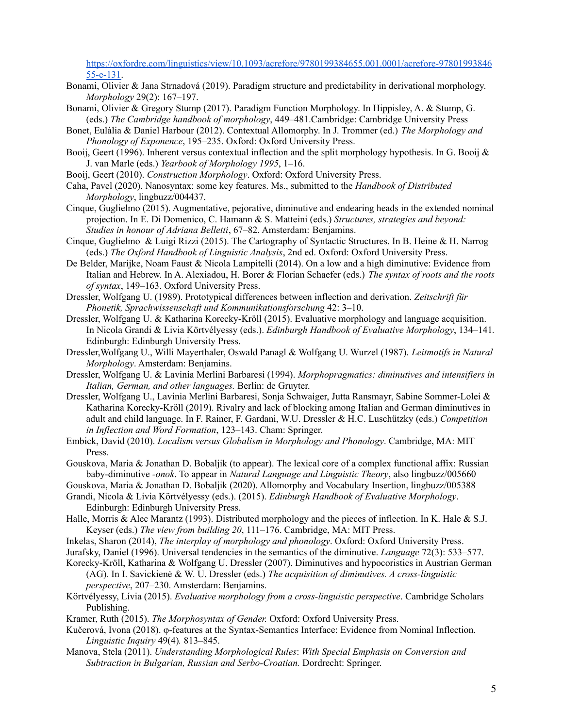[https://oxfordre.com/linguistics/view/10.1093/acrefore/9780199384655.001.0001/acrefore-97801993846](https://oxfordre.com/linguistics/view/10.1093/acrefore/9780199384655.001.0001/acrefore-9780199384655-e-131) [55-e-131.](https://oxfordre.com/linguistics/view/10.1093/acrefore/9780199384655.001.0001/acrefore-9780199384655-e-131)

- Bonami, Olivier & Jana Strnadová (2019). Paradigm structure and predictability in derivational morphology. *Morphology* 29(2): 167–197.
- Bonami, Olivier & Gregory Stump (2017). Paradigm Function Morphology. In Hippisley, A. & Stump, G. (eds.) *The Cambridge handbook of morphology*, 449–481.Cambridge: Cambridge University Press
- Bonet, Eulàlia & Daniel Harbour (2012). Contextual Allomorphy. In J. Trommer (ed.) *The Morphology and Phonology of Exponence*, 195–235. Oxford: Oxford University Press.
- Booij, Geert (1996). Inherent versus contextual inflection and the split morphology hypothesis. In G. Booij & J. van Marle (eds.) *Yearbook of Morphology 1995*, 1–16.
- Booij, Geert (2010). *Construction Morphology*. Oxford: Oxford University Press.
- Caha, Pavel (2020). Nanosyntax: some key features. Ms., submitted to the *Handbook of Distributed Morphology*, lingbuzz/004437.
- Cinque, Guglielmo (2015). Augmentative, pejorative, diminutive and endearing heads in the extended nominal projection. In E. Di Domenico, C. Hamann & S. Matteini (eds.) *Structures, strategies and beyond: Studies in honour of Adriana Belletti*, 67–82. Amsterdam: Benjamins.
- Cinque, Guglielmo & Luigi Rizzi (2015). The Cartography of Syntactic Structures. In B. Heine & H. Narrog (eds.) *The Oxford Handbook of Linguistic Analysis*, 2nd ed. Oxford: Oxford University Press.
- De Belder, Marijke, Noam Faust & Nicola Lampitelli (2014). On a low and a high diminutive: Evidence from Italian and Hebrew. In A. Alexiadou, H. Borer & Florian Schaefer (eds.) *The syntax of roots and the roots of syntax*, 149–163. Oxford University Press.
- Dressler, Wolfgang U. (1989). Prototypical differences between inflection and derivation. *Zeitschrift für Phonetik, Sprachwissenschaft und Kommunikationsforschung* 42: 3–10.
- Dressler, Wolfgang U. & Katharina Korecky-Kröll (2015). Evaluative morphology and language acquisition. In Nicola Grandi & Livia Körtvélyessy (eds.). *Edinburgh Handbook of Evaluative Morphology*, 134–141*.* Edinburgh: Edinburgh University Press.
- Dressler,Wolfgang U., Willi Mayerthaler, Oswald Panagl & Wolfgang U. Wurzel (1987). *Leitmotifs in Natural Morphology*. Amsterdam: Benjamins.
- Dressler, Wolfgang U. & Lavinia Merlini Barbaresi (1994). *Morphopragmatics: diminutives and intensifiers in Italian, German, and other languages.* Berlin: de Gruyter.
- Dressler, Wolfgang U., Lavinia Merlini Barbaresi, Sonja Schwaiger, Jutta Ransmayr, Sabine Sommer-Lolei & Katharina Korecky-Kröll (2019). Rivalry and lack of blocking among Italian and German diminutives in adult and child language. In F. Rainer, F. Gardani, W.U. Dressler & H.C. Luschützky (eds.) *Competition in Inflection and Word Formation*, 123–143. Cham: Springer.
- Embick, David (2010). *Localism versus Globalism in Morphology and Phonology*. Cambridge, MA: MIT Press.
- Gouskova, Maria & Jonathan D. Bobaljik (to appear). The lexical core of a complex functional affix: Russian baby-diminutive *-onok*. To appear in *Natural Language and Linguistic Theory*, also lingbuzz/005660
- Gouskova, Maria & Jonathan D. Bobaljik (2020). Allomorphy and Vocabulary Insertion, lingbuzz/005388
- Grandi, Nicola & Livia Körtvélyessy (eds.). (2015). *Edinburgh Handbook of Evaluative Morphology*. Edinburgh: Edinburgh University Press.
- Halle, Morris & Alec Marantz (1993). Distributed morphology and the pieces of inflection. In K. Hale & S.J. Keyser (eds.) *The view from building 20*, 111–176. Cambridge, MA: MIT Press.
- Inkelas, Sharon (2014), *The interplay of morphology and phonology*. Oxford: Oxford University Press.
- Jurafsky, Daniel (1996). Universal tendencies in the semantics of the diminutive. *Language* 72(3): 533–577.
- Korecky-Kröll, Katharina & Wolfgang U. Dressler (2007). Diminutives and hypocoristics in Austrian German (AG). In I. Savickienė & W. U. Dressler (eds.) *The acquisition of diminutives. A cross-linguistic perspective*, 207–230. Amsterdam: Benjamins.
- Körtvélyessy, Lívia (2015). *Evaluative morphology from a cross-linguistic perspective*. Cambridge Scholars Publishing.
- Kramer, Ruth (2015). *The Morphosyntax of Gender.* Oxford: Oxford University Press.
- Kučerová, Ivona (2018). φ-features at the Syntax-Semantics Interface: Evidence from Nominal Inflection. *Linguistic Inquiry* 49(4)*.* 813–845.
- Manova, Stela (2011). *Understanding Morphological Rules*: *With Special Emphasis on Conversion and Subtraction in Bulgarian, Russian and Serbo-Croatian.* Dordrecht: Springer.